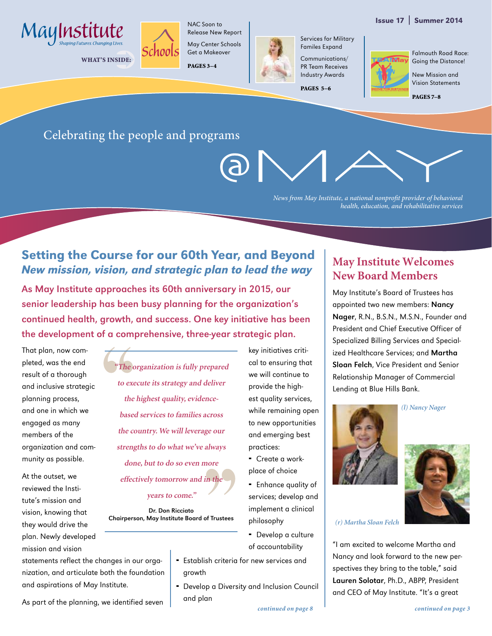### Issue 17 | Summer 2014



WHAT'S INSIDE:



Release New Report May Center Schools Get a Makeover

PAGES 3–4



Familes Expand Communications/ PR Team Receives Industry Awards

Services for Military

PAGES 5-6

Falmouth Road Race: Going the Distance!

> New Mission and Vision Statements

PAGES 7–8

## Celebrating the people and programs

*News from May Institute, a national nonprofit provider of behavioral health, education, and rehabilitative services*

## Setting the Course for our 60th Year, and Beyond New mission, vision, and strategic plan to lead the way

As May Institute approaches its 60th anniversary in 2015, our senior leadership has been busy planning for the organization's continued health, growth, and success. One key initiative has been the development of a comprehensive, three-year strategic plan.

That plan, now completed, was the end result of a thorough and inclusive strategic planning process, and one in which we engaged as many members of the organization and community as possible.

At the outset, we reviewed the Institute's mission and vision, knowing that they would drive the plan. Newly developed mission and vision

**"The organization is fully prepared to execute its strategy and deliver the highest quality, evidencebased services to families across the country. We will leverage our strengths to do what we've always done, but to do so even more effectively tomorrow and in the** 

**years to come."** 

Dr. Don Ricciato Chairperson, May Institute Board of Trustees

key initiatives critical to ensuring that we will continue to provide the highest quality services, while remaining open to new opportunities and emerging best practices: Create a work-

- place of choice
- **Enhance quality of** services; develop and implement a clinical philosophy
- Develop a culture of accountability
- Establish criteria for new services and growth
- Develop a Diversity and Inclusion Council and plan

## **May Institute Welcomes New Board Members**

May Institute's Board of Trustees has appointed two new members: Nancy Nager, R.N., B.S.N., M.S.N., Founder and President and Chief Executive Officer of Specialized Billing Services and Specialized Healthcare Services; and Martha Sloan Felch, Vice President and Senior Relationship Manager of Commercial Lending at Blue Hills Bank.



*(l) Nancy Nager*



"I am excited to welcome Martha and Nancy and look forward to the new perspectives they bring to the table," said Lauren Solotar, Ph.D., ABPP, President and CEO of May Institute. "It's a great

As part of the planning, we identified seven

and aspirations of May Institute.

statements reflect the changes in our organization, and articulate both the foundation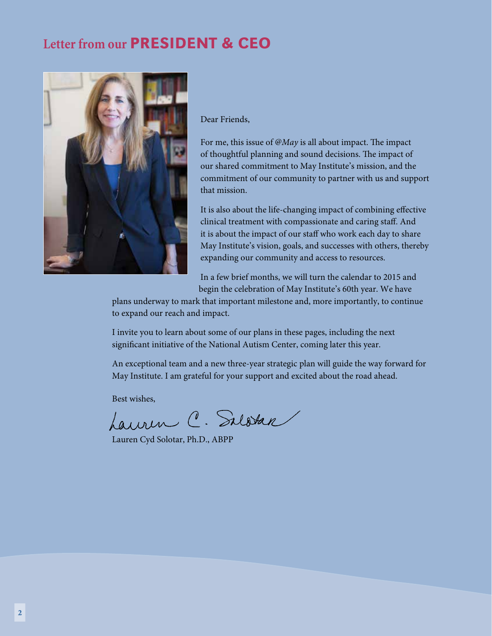## **Letter from our** PRESIDENT & CEO



Dear Friends,

For me, this issue of *@May* is all about impact. The impact of thoughtful planning and sound decisions. The impact of our shared commitment to May Institute's mission, and the commitment of our community to partner with us and support that mission.

It is also about the life-changing impact of combining effective clinical treatment with compassionate and caring staff. And it is about the impact of our staff who work each day to share May Institute's vision, goals, and successes with others, thereby expanding our community and access to resources.

In a few brief months, we will turn the calendar to 2015 and begin the celebration of May Institute's 60th year. We have

plans underway to mark that important milestone and, more importantly, to continue to expand our reach and impact.

I invite you to learn about some of our plans in these pages, including the next significant initiative of the National Autism Center, coming later this year.

An exceptional team and a new three-year strategic plan will guide the way forward for May Institute. I am grateful for your support and excited about the road ahead.

Best wishes,

Lauren C. Salatan

Lauren Cyd Solotar, Ph.D., ABPP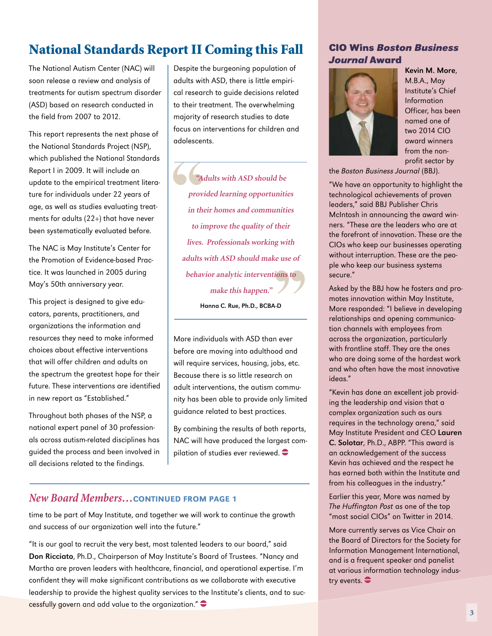## National Standards Report II Coming this Fall

The National Autism Center (NAC) will soon release a review and analysis of treatments for autism spectrum disorder (ASD) based on research conducted in the field from 2007 to 2012.

This report represents the next phase of the National Standards Project (NSP), which published the National Standards Report I in 2009. It will include an update to the empirical treatment literature for individuals under 22 years of age, as well as studies evaluating treatments for adults (22+) that have never been systematically evaluated before.

The NAC is May Institute's Center for the Promotion of Evidence-based Practice. It was launched in 2005 during May's 50th anniversary year.

This project is designed to give educators, parents, practitioners, and organizations the information and resources they need to make informed choices about effective interventions that will offer children and adults on the spectrum the greatest hope for their future. These interventions are identified in new report as "Established."

Throughout both phases of the NSP, a national expert panel of 30 professionals across autism-related disciplines has guided the process and been involved in all decisions related to the findings.

Despite the burgeoning population of adults with ASD, there is little empirical research to guide decisions related to their treatment. The overwhelming majority of research studies to date focus on interventions for children and adolescents.

**"Adults with ASD should be provided learning opportunities in their homes and communities to improve the quality of their lives. Professionals working with adults with ASD should make use of behavior analytic interventions to make this happen."**  Hanna C. Rue, Ph.D., BCBA-D

More individuals with ASD than ever before are moving into adulthood and will require services, housing, jobs, etc. Because there is so little research on adult interventions, the autism community has been able to provide only limited guidance related to best practices.

By combining the results of both reports, NAC will have produced the largest compilation of studies ever reviewed.  $\bullet$ 

### *New Board Members…*CONTINUED FROM PAGE 1

time to be part of May Institute, and together we will work to continue the growth and success of our organization well into the future."

"It is our goal to recruit the very best, most talented leaders to our board," said Don Ricciato, Ph.D., Chairperson of May Institute's Board of Trustees. "Nancy and Martha are proven leaders with healthcare, financial, and operational expertise. I'm confident they will make significant contributions as we collaborate with executive leadership to provide the highest quality services to the Institute's clients, and to successfully govern and add value to the organization." $\bullet$ 

### **CIO Wins** *Boston Business Journal* **Award**



Kevin M. More, M.B.A., May Institute's Chief Information Officer, has been named one of two 2014 CIO award winners from the nonprofit sector by

the Boston Business Journal (BBJ).

"We have an opportunity to highlight the technological achievements of proven leaders," said BBJ Publisher Chris McIntosh in announcing the award winners. "These are the leaders who are at the forefront of innovation. These are the CIOs who keep our businesses operating without interruption. These are the people who keep our business systems secure."

Asked by the BBJ how he fosters and promotes innovation within May Institute, More responded: "I believe in developing relationships and opening communication channels with employees from across the organization, particularly with frontline staff. They are the ones who are doing some of the hardest work and who often have the most innovative ideas."

"Kevin has done an excellent job providing the leadership and vision that a complex organization such as ours requires in the technology arena," said May Institute President and CEO Lauren C. Solotar, Ph.D., ABPP. "This award is an acknowledgement of the success Kevin has achieved and the respect he has earned both within the Institute and from his colleagues in the industry."

Earlier this year, More was named by The Huffington Post as one of the top "most social CIOs" on Twitter in 2014.

More currently serves as Vice Chair on the Board of Directors for the Society for Information Management International, and is a frequent speaker and panelist at various information technology industry events.  $\bullet$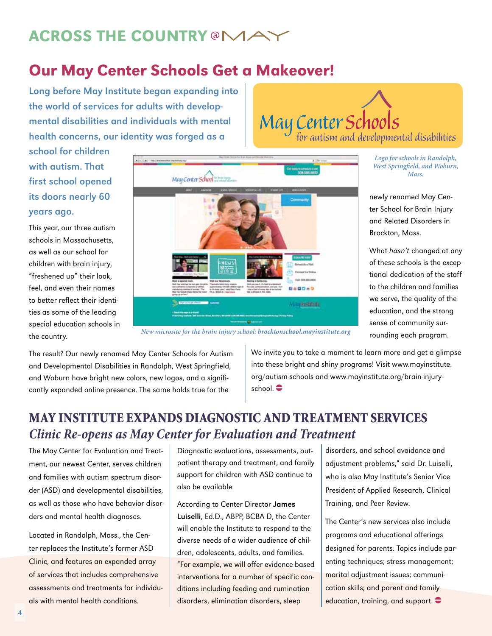# **ACROSS THE COUNTRY @MAGIORS**

# Our May Center Schools Get a Makeover!

Long before May Institute began expanding into the world of services for adults with developmental disabilities and individuals with mental health concerns, our identity was forged as a

May Center Schools<br>for autism and developmental disabilities

newly renamed May Center School for Brain Injury and Related Disorders in

*Logo for schools in Randolph, West Springfield, and Woburn, Mass.* 

What hasn't changed at any of these schools is the exceptional dedication of the staff to the children and families we serve, the quality of the education, and the strong sense of community surrounding each program.

Brockton, Mass.

school for children with autism. That first school opened its doors nearly 60 years ago.

This year, our three autism schools in Massachusetts, as well as our school for children with brain injury, "freshened up" their look, feel, and even their names to better reflect their identities as some of the leading special education schools in the country.



*New microsite for the brain injury school: brocktonschool.mayinstitute.org*

The result? Our newly renamed May Center Schools for Autism and Developmental Disabilities in Randolph, West Springfield, and Woburn have bright new colors, new logos, and a significantly expanded online presence. The same holds true for the

We invite you to take a moment to learn more and get a glimpse into these bright and shiny programs! Visit www.mayinstitute. org/autism-schools and www.mayinstitute.org/brain-injury $school.$ 

## MAY INSTITUTE EXPANDS DIAGNOSTIC AND TREATMENT SERVICES *Clinic Re-opens as May Center for Evaluation and Treatment*

The May Center for Evaluation and Treatment, our newest Center, serves children and families with autism spectrum disorder (ASD) and developmental disabilities, as well as those who have behavior disorders and mental health diagnoses.

Located in Randolph, Mass., the Center replaces the Institute's former ASD Clinic, and features an expanded array of services that includes comprehensive assessments and treatments for individuals with mental health conditions.

Diagnostic evaluations, assessments, outpatient therapy and treatment, and family support for children with ASD continue to also be available.

According to Center Director James Luiselli, Ed.D., ABPP, BCBA-D, the Center will enable the Institute to respond to the diverse needs of a wider audience of children, adolescents, adults, and families. "For example, we will offer evidence-based interventions for a number of specific conditions including feeding and rumination disorders, elimination disorders, sleep

disorders, and school avoidance and adjustment problems," said Dr. Luiselli, who is also May Institute's Senior Vice President of Applied Research, Clinical Training, and Peer Review.

The Center's new services also include programs and educational offerings designed for parents. Topics include parenting techniques; stress management; marital adjustment issues; communication skills; and parent and family education, training, and support.  $\bullet$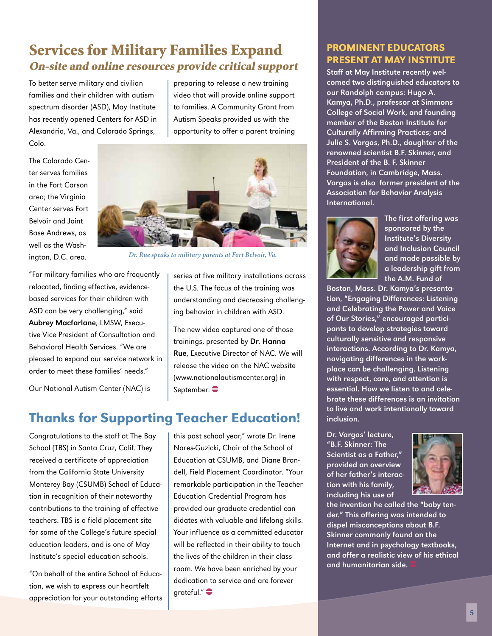## Services for Military Families Expand On-site and online resources provide critical support

To better serve military and civilian families and their children with autism spectrum disorder (ASD), May Institute has recently opened Centers for ASD in Alexandria, Va., and Colorado Springs, Colo.

The Colorado Center serves families in the Fort Carson area; the Virginia Center serves Fort Belvoir and Joint Base Andrews, as

preparing to release a new training video that will provide online support to families. A Community Grant from Autism Speaks provided us with the opportunity to offer a parent training



*Dr. Rue speaks to military parents at Fort Belvoir, Va.*

well as the Washington, D.C. area. "For military families who are frequently relocated, finding effective, evidencebased services for their children with ASD can be very challenging," said Aubrey Macfarlane, LMSW, Executive Vice President of Consultation and Behavioral Health Services. "We are pleased to expand our service network in order to meet these families' needs."

Our National Autism Center (NAC) is

## Thanks for Supporting Teacher Education!

Congratulations to the staff at The Bay School (TBS) in Santa Cruz, Calif. They received a certificate of appreciation from the California State University Monterey Bay (CSUMB) School of Education in recognition of their noteworthy contributions to the training of effective teachers. TBS is a field placement site for some of the College's future special education leaders, and is one of May Institute's special education schools.

"On behalf of the entire School of Education, we wish to express our heartfelt appreciation for your outstanding efforts

series at five military installations across the U.S. The focus of the training was understanding and decreasing challenging behavior in children with ASD.

The new video captured one of those trainings, presented by Dr. Hanna Rue, Executive Director of NAC. We will release the video on the NAC website (www.nationalautismcenter.org) in September.  $\bullet$ 

this past school year," wrote Dr. Irene Nares-Guzicki, Chair of the School of Education at CSUMB, and Diane Brandell, Field Placement Coordinator. "Your remarkable participation in the Teacher Education Credential Program has provided our graduate credential candidates with valuable and lifelong skills. Your influence as a committed educator will be reflected in their ability to touch the lives of the children in their classroom. We have been enriched by your dedication to service and are forever  $q$ rateful." $\bullet$ 

### PROMINENT EDUCATORS PRESENT AT MAY INSTITUTE

Staff at May Institute recently welcomed two distinguished educators to our Randolph campus: Hugo A. Kamya, Ph.D., professor at Simmons College of Social Work, and founding member of the Boston Institute for Culturally Affirming Practices; and Julie S. Vargas, Ph.D., daughter of the renowned scientist B.F. Skinner, and President of the B. F. Skinner Foundation, in Cambridge, Mass. Vargas is also former president of the Association for Behavior Analysis International.



The first offering was sponsored by the Institute's Diversity and Inclusion Council and made possible by a leadership gift from the A.M. Fund of

Boston, Mass. Dr. Kamya's presentation, "Engaging Differences: Listening and Celebrating the Power and Voice of Our Stories," encouraged participants to develop strategies toward culturally sensitive and responsive interactions. According to Dr. Kamya, navigating differences in the workplace can be challenging. Listening with respect, care, and attention is essential. How we listen to and celebrate these differences is an invitation to live and work intentionally toward inclusion.

Dr. Vargas' lecture, "B.F. Skinner: The Scientist as a Father," provided an overview of her father's interaction with his family, including his use of



the invention he called the "baby tender." This offering was intended to dispel misconceptions about B.F. Skinner commonly found on the Internet and in psychology textbooks, and offer a realistic view of his ethical and humanitarian side.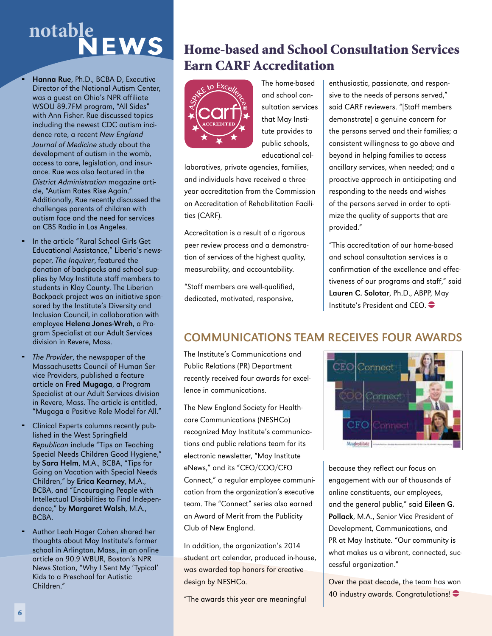# **notable**EWS

- Hanna Rue, Ph.D., BCBA-D, Executive Director of the National Autism Center, was a guest on Ohio's NPR affiliate WSOU 89.7FM program, "All Sides" with Ann Fisher. Rue discussed topics including the newest CDC autism incidence rate, a recent New England Journal of Medicine study about the development of autism in the womb, access to care, legislation, and insurance. Rue was also featured in the District Administration magazine article, "Autism Rates Rise Again." Additionally, Rue recently discussed the challenges parents of children with autism face and the need for services on CBS Radio in Los Angeles.
- In the article "Rural School Girls Get Educational Assistance," Liberia's newspaper, The Inquirer, featured the donation of backpacks and school supplies by May Institute staff members to students in Klay County. The Liberian Backpack project was an initiative sponsored by the Institute's Diversity and Inclusion Council, in collaboration with employee Helena Jones-Wreh, a Program Specialist at our Adult Services division in Revere, Mass.
- The Provider, the newspaper of the Massachusetts Council of Human Service Providers, published a feature article on Fred Mugaga, a Program Specialist at our Adult Services division in Revere, Mass. The article is entitled, "Mugaga a Positive Role Model for All."
- Clinical Experts columns recently published in the West Springfield Republican include "Tips on Teaching Special Needs Children Good Hygiene," by Sara Helm, M.A., BCBA, "Tips for Going on Vacation with Special Needs Children," by Erica Kearney, M.A., BCBA, and "Encouraging People with Intellectual Disabilities to Find Independence," by Margaret Walsh, M.A., BCBA.
- Author Leah Hager Cohen shared her thoughts about May Institute's former school in Arlington, Mass., in an online article on 90.9 WBUR, Boston's NPR News Station, "Why I Sent My 'Typical' Kids to a Preschool for Autistic Children."

## Home-based and School Consultation Services Earn CARF Accreditation



The home-based and school consultation services that May Institute provides to public schools, educational col-

laboratives, private agencies, families, and individuals have received a threeyear accreditation from the Commission on Accreditation of Rehabilitation Facilities (CARF).

Accreditation is a result of a rigorous peer review process and a demonstration of services of the highest quality, measurability, and accountability.

"Staff members are well-qualified, dedicated, motivated, responsive,

enthusiastic, passionate, and responsive to the needs of persons served," said CARF reviewers. "[Staff members demonstrate] a genuine concern for the persons served and their families; a consistent willingness to go above and beyond in helping families to access ancillary services, when needed; and a proactive approach in anticipating and responding to the needs and wishes of the persons served in order to optimize the quality of supports that are provided."

"This accreditation of our home-based and school consultation services is a confirmation of the excellence and effectiveness of our programs and staff," said Lauren C. Solotar, Ph.D., ABPP, May Institute's President and CEO.  $\bullet$ 

## COMMUNICATIONS TEAM RECEIVES FOUR AWARDS

The Institute's Communications and Public Relations (PR) Department recently received four awards for excellence in communications.

The New England Society for Healthcare Communications (NESHCo) recognized May Institute's communications and public relations team for its electronic newsletter, "May Institute eNews," and its "CEO/COO/CFO Connect," a regular employee communication from the organization's executive team. The "Connect" series also earned an Award of Merit from the Publicity Club of New England.

In addition, the organization's 2014 student art calendar, produced in-house, was awarded top honors for creative design by NESHCo.

"The awards this year are meaningful



because they reflect our focus on engagement with our of thousands of online constituents, our employees, and the general public," said Eileen G. Pollack, M.A., Senior Vice President of Development, Communications, and PR at May Institute. "Our community is what makes us a vibrant, connected, successful organization."

Over the past decade, the team has won 40 industry awards. Congratulations! $\bullet$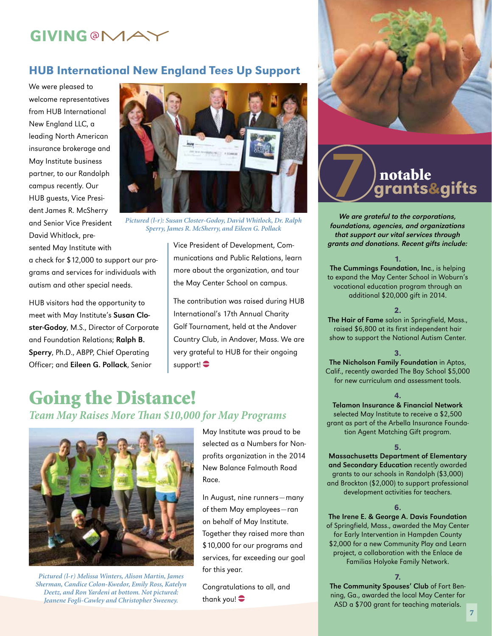# **GIVING @MA**

### HUB International New England Tees Up Support

We were pleased to welcome representatives from HUB International New England LLC, a leading North American insurance brokerage and May Institute business partner, to our Randolph campus recently. Our HUB guests, Vice President James R. McSherry and Senior Vice President David Whitlock, presented May Institute with

a check for \$12,000 to support our programs and services for individuals with autism and other special needs.

HUB visitors had the opportunity to meet with May Institute's Susan Closter-Godoy, M.S., Director of Corporate and Foundation Relations; Ralph B. Sperry, Ph.D., ABPP, Chief Operating Officer; and Eileen G. Pollack, Senior



*Pictured (l-r): Susan Closter-Godoy, David Whitlock, Dr. Ralph Sperry, James R. McSherry, and Eileen G. Pollack*

Vice President of Development, Communications and Public Relations, learn more about the organization, and tour the May Center School on campus.

The contribution was raised during HUB International's 17th Annual Charity Golf Tournament, held at the Andover Country Club, in Andover, Mass. We are very grateful to HUB for their ongoing support! $\bullet$ 

# Going the Distance!

*Team May Raises More Than \$10,000 for May Programs* 



*Pictured (l-r) Melissa Winters, Alison Martin, James Sherman, Candice Colon-Kwedor, Emily Ross, Katelyn Deetz, and Ron Yardeni at bottom. Not pictured: Jeanene Fogli-Cawley and Christopher Sweeney.*

May Institute was proud to be selected as a Numbers for Nonprofits organization in the 2014 New Balance Falmouth Road Race.

In August, nine runners—many of them May employees—ran on behalf of May Institute. Together they raised more than \$10,000 for our programs and services, far exceeding our goal for this year.

Congratulations to all, and thank you! $\bullet$ 



# grants&gifts notable 7

We are grateful to the corporations, foundations, agencies, and organizations that support our vital services through grants and donations. Recent gifts include:

### 1.

The Cummings Foundation, Inc., is helping to expand the May Center School in Woburn's vocational education program through an additional \$20,000 gift in 2014.

### 2.

The Hair of Fame salon in Springfield, Mass., raised \$6,800 at its first independent hair show to support the National Autism Center.

#### 3.

The Nicholson Family Foundation in Aptos, Calif., recently awarded The Bay School \$5,000 for new curriculum and assessment tools.

### 4.

Telamon Insurance & Financial Network selected May Institute to receive a \$2,500 grant as part of the Arbella Insurance Foundation Agent Matching Gift program.

### 5.

Massachusetts Department of Elementary and Secondary Education recently awarded grants to our schools in Randolph (\$3,000) and Brockton (\$2,000) to support professional development activities for teachers.

### 6.

The Irene E. & George A. Davis Foundation of Springfield, Mass., awarded the May Center for Early Intervention in Hampden County \$2,000 for a new Community Play and Learn project, a collaboration with the Enlace de Familias Holyoke Family Network.

### 7.

The Community Spouses' Club of Fort Benning, Ga., awarded the local May Center for ASD a \$700 grant for teaching materials.